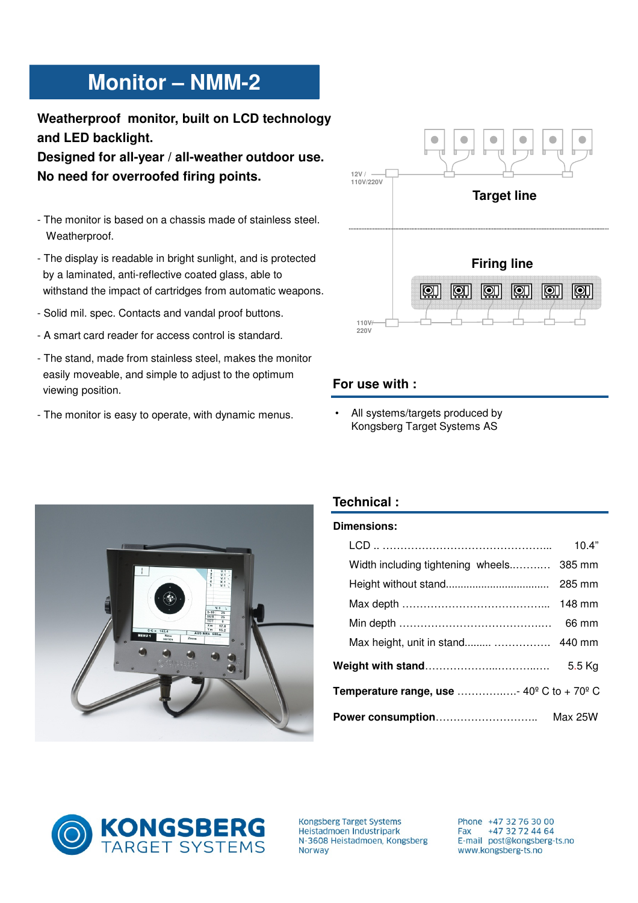# **Monitor – NMM-2**

**Weatherproof monitor, built on LCD technology and LED backlight.**

**Designed for all-year / all-weather outdoor use. No need for overroofed firing points.**

- The monitor is based on a chassis made of stainless steel. Weatherproof.
- The display is readable in bright sunlight, and is protected by a laminated, anti-reflective coated glass, able to withstand the impact of cartridges from automatic weapons.
- Solid mil. spec. Contacts and vandal proof buttons.
- A smart card reader for access control is standard.
- The stand, made from stainless steel, makes the monitor easily moveable, and simple to adjust to the optimum viewing position.
- The monitor is easy to operate, with dynamic menus.



## **For use with :**

All systems/targets produced by Kongsberg Target Systems AS



### **Technical :**

#### **Dimensions:**

|                                                                         | 10.4"   |
|-------------------------------------------------------------------------|---------|
| Width including tightening wheels                                       | 385 mm  |
|                                                                         | 285 mm  |
|                                                                         | 148 mm  |
|                                                                         | 66 mm   |
| Max height, unit in stand  440 mm                                       |         |
|                                                                         | 5.5 Kg  |
| <b>Temperature range, use </b> 40 <sup>o</sup> C to + 70 <sup>o</sup> C |         |
| Power consumption                                                       | Max 25W |



Kongsberg Target Systems Heistadmoen Industripark N-3608 Heistadmoen, Kongsberg Norway

Phone +47 32 76 30 00 +47 32 72 44 64 Fax E-mail post@kongsberg-ts.no www.kongsberg-ts.no